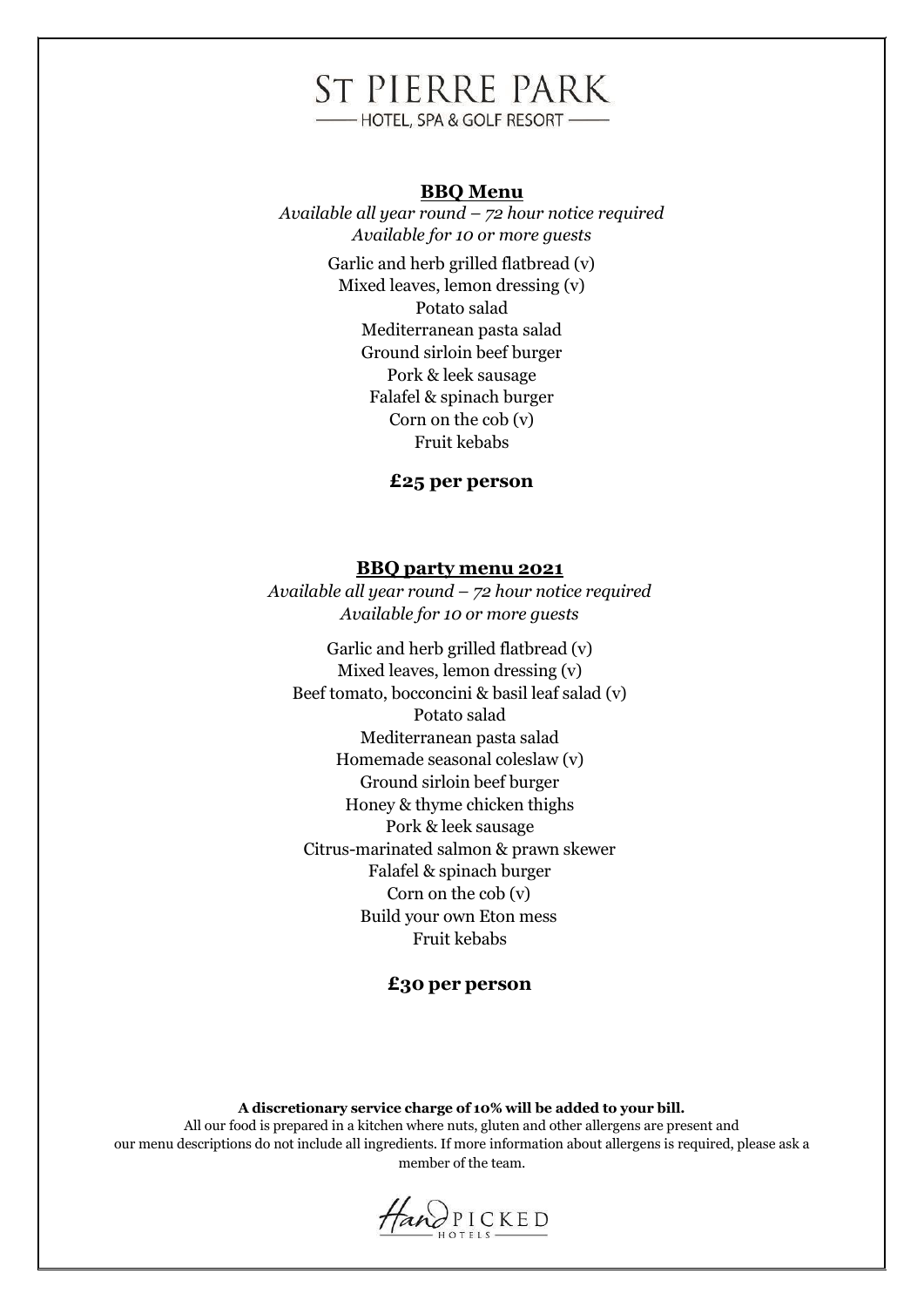# **ST PIERRE PARK**

-HOTEL, SPA & GOLF RESORT -

#### **BBQ Menu**

*Available all year round – 72 hour notice required Available for 10 or more guests*  Garlic and herb grilled flatbread (v) Mixed leaves, lemon dressing (v) Potato salad Mediterranean pasta salad Ground sirloin beef burger Pork & leek sausage Falafel & spinach burger Corn on the cob (v) Fruit kebabs

**£25 per person**

#### **BBQ party menu 2021**

*Available all year round – 72 hour notice required Available for 10 or more guests*

Garlic and herb grilled flatbread (v) Mixed leaves, lemon dressing (v) Beef tomato, bocconcini & basil leaf salad (v) Potato salad Mediterranean pasta salad Homemade seasonal coleslaw (v) Ground sirloin beef burger Honey & thyme chicken thighs Pork & leek sausage Citrus-marinated salmon & prawn skewer Falafel & spinach burger Corn on the cob (v) Build your own Eton mess Fruit kebabs

# **£30 per person**

**A discretionary service charge of 10% will be added to your bill.**

All our food is prepared in a kitchen where nuts, gluten and other allergens are present and our menu descriptions do not include all ingredients. If more information about allergens is required, please ask a member of the team.